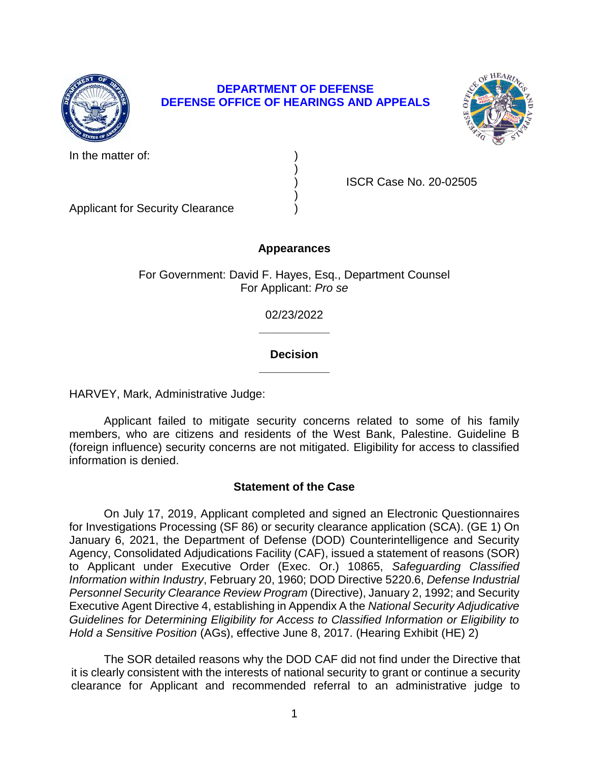

# **DEPARTMENT OF DEFENSE DEFENSE OFFICE OF HEARINGS AND APPEALS**

)

)



In the matter of:

) ISCR Case No. 20-02505

Applicant for Security Clearance )

## **Appearances**

For Government: David F. Hayes, Esq., Department Counsel For Applicant: *Pro se* 

> **\_\_\_\_\_\_\_\_\_\_\_**  02/23/2022

## **\_\_\_\_\_\_\_\_\_\_\_ Decision**

HARVEY, Mark, Administrative Judge:

 Applicant failed to mitigate security concerns related to some of his family members, who are citizens and residents of the West Bank, Palestine. Guideline B (foreign influence) security concerns are not mitigated. Eligibility for access to classified information is denied.

# **Statement of the Case**

 On July 17, 2019, Applicant completed and signed an Electronic Questionnaires for Investigations Processing (SF 86) or security clearance application (SCA). (GE 1) On January 6, 2021, the Department of Defense (DOD) Counterintelligence and Security to Applicant under Executive Order (Exec. Or.) 10865, *Safeguarding Classified Information within Industry*, February 20, 1960; DOD Directive 5220.6, *Defense Industrial*  Personnel Security Clearance Review Program (Directive), January 2, 1992; and Security Executive Agent Directive 4, establishing in Appendix A the *National Security Adjudicative Guidelines for Determining Eligibility for Access to Classified Information or Eligibility to*  Agency, Consolidated Adjudications Facility (CAF), issued a statement of reasons (SOR) *Hold a Sensitive Position* (AGs), effective June 8, 2017. (Hearing Exhibit (HE) 2)

 it is clearly consistent with the interests of national security to grant or continue a security clearance for Applicant and recommended referral to an administrative judge to The SOR detailed reasons why the DOD CAF did not find under the Directive that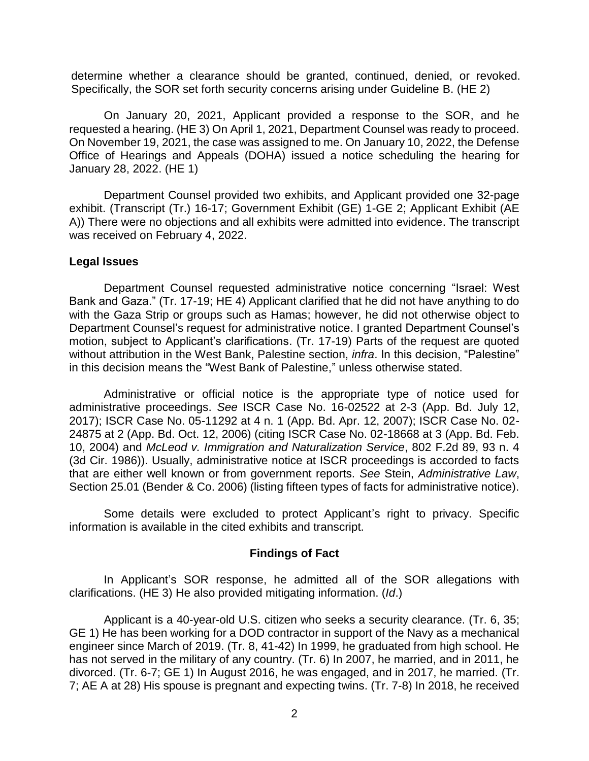determine whether a clearance should be granted, continued, denied, or revoked. Specifically, the SOR set forth security concerns arising under Guideline B. (HE 2)

 On January 20, 2021, Applicant provided a response to the SOR, and he requested a hearing. (HE 3) On April 1, 2021, Department Counsel was ready to proceed. On November 19, 2021, the case was assigned to me. On January 10, 2022, the Defense Office of Hearings and Appeals (DOHA) issued a notice scheduling the hearing for January 28, 2022. (HE 1)

 Department Counsel provided two exhibits, and Applicant provided one 32-page A)) There were no objections and all exhibits were admitted into evidence. The transcript exhibit. (Transcript (Tr.) 16-17; Government Exhibit (GE) 1-GE 2; Applicant Exhibit (AE was received on February 4, 2022.

### **Legal Issues**

 Department Counsel requested administrative notice concerning "Israel: West with the Gaza Strip or groups such as Hamas; however, he did not otherwise object to motion, subject to Applicant's clarifications. (Tr. 17-19) Parts of the request are quoted without attribution in the West Bank, Palestine section, *infra*. In this decision, "Palestine" Bank and Gaza." (Tr. 17-19; HE 4) Applicant clarified that he did not have anything to do Department Counsel's request for administrative notice. I granted Department Counsel's in this decision means the "West Bank of Palestine," unless otherwise stated.

Administrative or official notice is the appropriate type of notice used for administrative proceedings. *See* ISCR Case No. 16-02522 at 2-3 (App. Bd. July 12, 2017); ISCR Case No. 05-11292 at 4 n. 1 (App. Bd. Apr. 12, 2007); ISCR Case No. 02- 24875 at 2 (App. Bd. Oct. 12, 2006) (citing ISCR Case No. 02-18668 at 3 (App. Bd. Feb. 10, 2004) and *McLeod v. Immigration and Naturalization Service*, 802 F.2d 89, 93 n. 4 (3d Cir. 1986)). Usually, administrative notice at ISCR proceedings is accorded to facts that are either well known or from government reports. *See* Stein, *Administrative Law*, Section 25.01 (Bender & Co. 2006) (listing fifteen types of facts for administrative notice).

 Some details were excluded to protect Applicant's right to privacy. Specific information is available in the cited exhibits and transcript.

### **Findings of Fact**

 In Applicant's SOR response, he admitted all of the SOR allegations with clarifications. (HE 3) He also provided mitigating information. (*Id*.)

 Applicant is a 40-year-old U.S. citizen who seeks a security clearance. (Tr. 6, 35; GE 1) He has been working for a DOD contractor in support of the Navy as a mechanical engineer since March of 2019. (Tr. 8, 41-42) In 1999, he graduated from high school. He divorced. (Tr. 6-7; GE 1) In August 2016, he was engaged, and in 2017, he married. (Tr. 7; AE A at 28) His spouse is pregnant and expecting twins. (Tr. 7-8) In 2018, he received has not served in the military of any country. (Tr. 6) In 2007, he married, and in 2011, he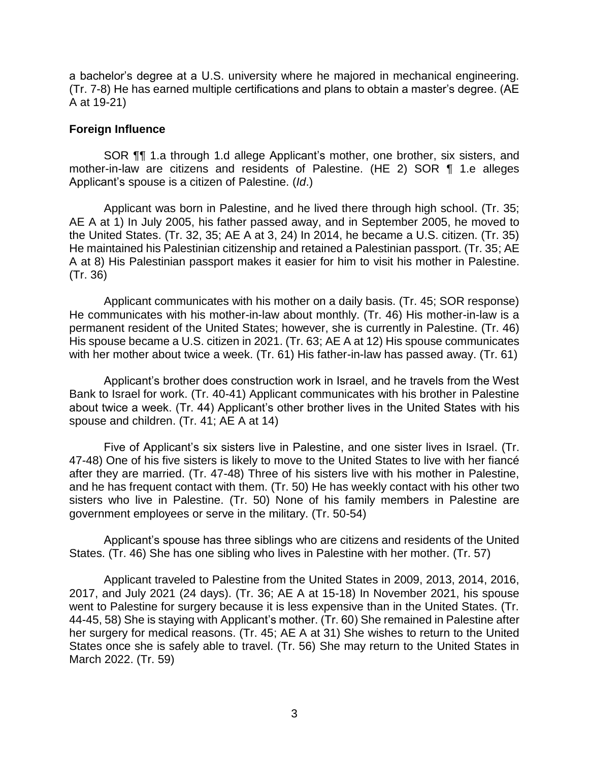a bachelor's degree at a U.S. university where he majored in mechanical engineering. (Tr. 7-8) He has earned multiple certifications and plans to obtain a master's degree. (AE A at 19-21)

### **Foreign Influence**

SOR **¶** 1.a through 1.d allege Applicant's mother, one brother, six sisters, and mother-in-law are citizens and residents of Palestine. (HE 2) SOR ¶ 1.e alleges Applicant's spouse is a citizen of Palestine. (*Id*.)

 Applicant was born in Palestine, and he lived there through high school. (Tr. 35; AE A at 1) In July 2005, his father passed away, and in September 2005, he moved to the United States. (Tr. 32, 35; AE A at 3, 24) In 2014, he became a U.S. citizen. (Tr. 35) He maintained his Palestinian citizenship and retained a Palestinian passport. (Tr. 35; AE A at 8) His Palestinian passport makes it easier for him to visit his mother in Palestine. (Tr. 36)

 He communicates with his mother-in-law about monthly. (Tr. 46) His mother-in-law is a permanent resident of the United States; however, she is currently in Palestine. (Tr. 46) His spouse became a U.S. citizen in 2021. (Tr. 63; AE A at 12) His spouse communicates Applicant communicates with his mother on a daily basis. (Tr. 45; SOR response) with her mother about twice a week. (Tr. 61) His father-in-law has passed away. (Tr. 61)

 Applicant's brother does construction work in Israel, and he travels from the West Bank to Israel for work. (Tr. 40-41) Applicant communicates with his brother in Palestine about twice a week. (Tr. 44) Applicant's other brother lives in the United States with his spouse and children. (Tr. 41; AE A at 14)

 Five of Applicant's six sisters live in Palestine, and one sister lives in Israel. (Tr. 47-48) One of his five sisters is likely to move to the United States to live with her fiancé after they are married. (Tr. 47-48) Three of his sisters live with his mother in Palestine, and he has frequent contact with them. (Tr. 50) He has weekly contact with his other two sisters who live in Palestine. (Tr. 50) None of his family members in Palestine are government employees or serve in the military. (Tr. 50-54)

 Applicant's spouse has three siblings who are citizens and residents of the United States. (Tr. 46) She has one sibling who lives in Palestine with her mother. (Tr. 57)

 Applicant traveled to Palestine from the United States in 2009, 2013, 2014, 2016, 2017, and July 2021 (24 days). (Tr. 36; AE A at 15-18) In November 2021, his spouse went to Palestine for surgery because it is less expensive than in the United States. (Tr. 44-45, 58) She is staying with Applicant's mother. (Tr. 60) She remained in Palestine after her surgery for medical reasons. (Tr. 45; AE A at 31) She wishes to return to the United States once she is safely able to travel. (Tr. 56) She may return to the United States in March 2022. (Tr. 59)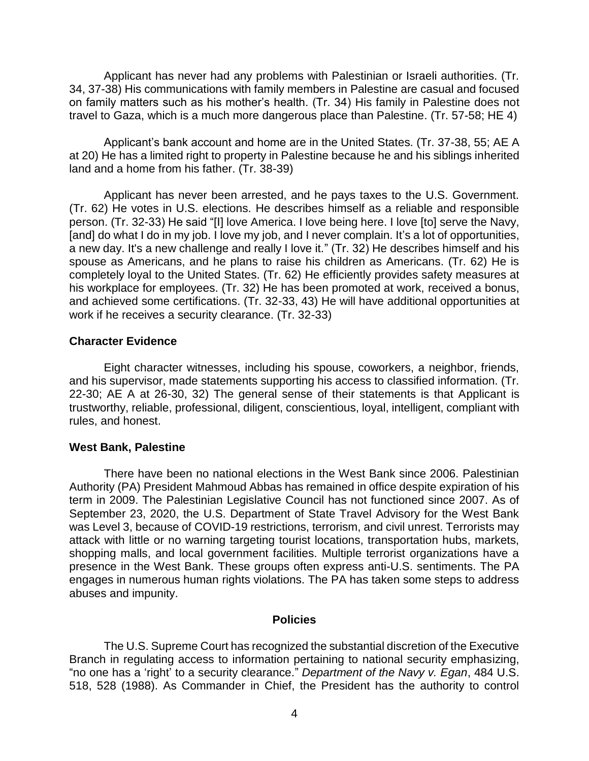Applicant has never had any problems with Palestinian or Israeli authorities. (Tr. 34, 37-38) His communications with family members in Palestine are casual and focused on family matters such as his mother's health. (Tr. 34) His family in Palestine does not travel to Gaza, which is a much more dangerous place than Palestine. (Tr. 57-58; HE 4)

 Applicant's bank account and home are in the United States. (Tr. 37-38, 55; AE A at 20) He has a limited right to property in Palestine because he and his siblings inherited land and a home from his father. (Tr. 38-39)

 Applicant has never been arrested, and he pays taxes to the U.S. Government. (Tr. 62) He votes in U.S. elections. He describes himself as a reliable and responsible person. (Tr. 32-33) He said "[I] love America. I love being here. I love [to] serve the Navy, [and] do what I do in my job. I love my job, and I never complain. It's a lot of opportunities, a new day. It's a new challenge and really I love it." (Tr. 32) He describes himself and his spouse as Americans, and he plans to raise his children as Americans. (Tr. 62) He is completely loyal to the United States. (Tr. 62) He efficiently provides safety measures at his workplace for employees. (Tr. 32) He has been promoted at work, received a bonus, and achieved some certifications. (Tr. 32-33, 43) He will have additional opportunities at work if he receives a security clearance. (Tr. 32-33)

### **Character Evidence**

 and his supervisor, made statements supporting his access to classified information. (Tr. 22-30; AE A at 26-30, 32) The general sense of their statements is that Applicant is Eight character witnesses, including his spouse, coworkers, a neighbor, friends, trustworthy, reliable, professional, diligent, conscientious, loyal, intelligent, compliant with rules, and honest.

#### **West Bank, Palestine**

 There have been no national elections in the West Bank since 2006. Palestinian Authority (PA) President Mahmoud Abbas has remained in office despite expiration of his term in 2009. The Palestinian Legislative Council has not functioned since 2007. As of September 23, 2020, the U.S. Department of State Travel Advisory for the West Bank was Level 3, because of COVID-19 restrictions, terrorism, and civil unrest. Terrorists may attack with little or no warning targeting tourist locations, transportation hubs, markets, shopping malls, and local government facilities. Multiple terrorist organizations have a presence in the West Bank. These groups often express anti-U.S. sentiments. The PA engages in numerous human rights violations. The PA has taken some steps to address abuses and impunity.

### **Policies**

 The U.S. Supreme Court has recognized the substantial discretion of the Executive Branch in regulating access to information pertaining to national security emphasizing, "no one has a 'right' to a security clearance." *Department of the Navy v. Egan*, 484 U.S. 518, 528 (1988). As Commander in Chief, the President has the authority to control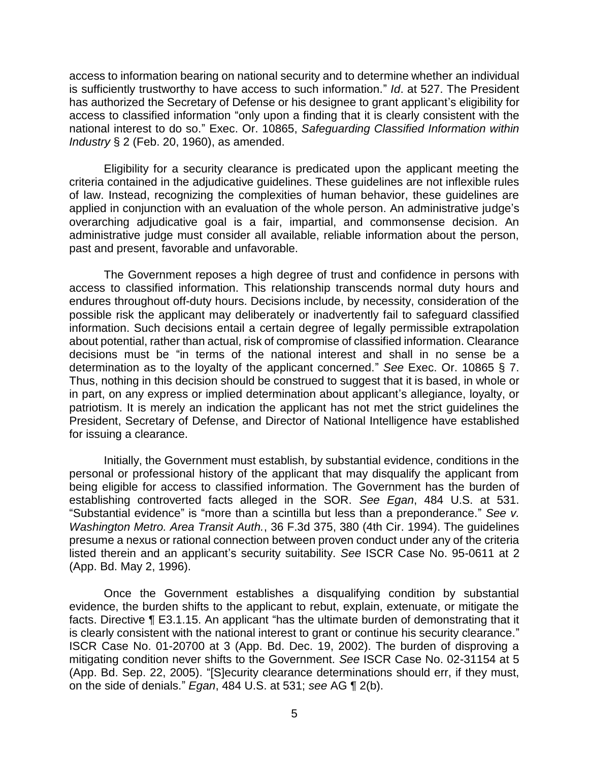access to information bearing on national security and to determine whether an individual is sufficiently trustworthy to have access to such information." *Id*. at 527. The President has authorized the Secretary of Defense or his designee to grant applicant's eligibility for access to classified information "only upon a finding that it is clearly consistent with the national interest to do so." Exec. Or. 10865, *Safeguarding Classified Information within Industry* § 2 (Feb. 20, 1960), as amended.

 Eligibility for a security clearance is predicated upon the applicant meeting the criteria contained in the adjudicative guidelines. These guidelines are not inflexible rules of law. Instead, recognizing the complexities of human behavior, these guidelines are applied in conjunction with an evaluation of the whole person. An administrative judge's overarching adjudicative goal is a fair, impartial, and commonsense decision. An administrative judge must consider all available, reliable information about the person, past and present, favorable and unfavorable.

 The Government reposes a high degree of trust and confidence in persons with access to classified information. This relationship transcends normal duty hours and endures throughout off-duty hours. Decisions include, by necessity, consideration of the possible risk the applicant may deliberately or inadvertently fail to safeguard classified information. Such decisions entail a certain degree of legally permissible extrapolation about potential, rather than actual, risk of compromise of classified information. Clearance decisions must be "in terms of the national interest and shall in no sense be a determination as to the loyalty of the applicant concerned." *See* Exec. Or. 10865 § 7. Thus, nothing in this decision should be construed to suggest that it is based, in whole or in part, on any express or implied determination about applicant's allegiance, loyalty, or patriotism. It is merely an indication the applicant has not met the strict guidelines the President, Secretary of Defense, and Director of National Intelligence have established for issuing a clearance.

 Initially, the Government must establish, by substantial evidence, conditions in the personal or professional history of the applicant that may disqualify the applicant from being eligible for access to classified information. The Government has the burden of establishing controverted facts alleged in the SOR. *See Egan*, 484 U.S. at 531. "Substantial evidence" is "more than a scintilla but less than a preponderance." *See v. Washington Metro. Area Transit Auth.*, 36 F.3d 375, 380 (4th Cir. 1994). The guidelines presume a nexus or rational connection between proven conduct under any of the criteria listed therein and an applicant's security suitability. *See* ISCR Case No. 95-0611 at 2 (App. Bd. May 2, 1996).

 Once the Government establishes a disqualifying condition by substantial evidence, the burden shifts to the applicant to rebut, explain, extenuate, or mitigate the facts. Directive ¶ E3.1.15. An applicant "has the ultimate burden of demonstrating that it is clearly consistent with the national interest to grant or continue his security clearance." ISCR Case No. 01-20700 at 3 (App. Bd. Dec. 19, 2002). The burden of disproving a mitigating condition never shifts to the Government. *See* ISCR Case No. 02-31154 at 5 (App. Bd. Sep. 22, 2005). "[S]ecurity clearance determinations should err, if they must, on the side of denials." *Egan*, 484 U.S. at 531; *see* AG ¶ 2(b).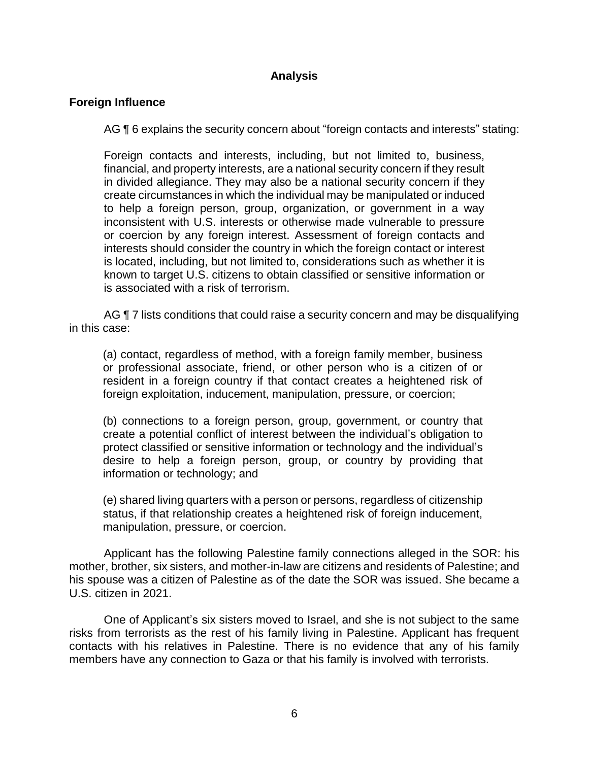# **Analysis**

## **Foreign Influence**

AG ¶ 6 explains the security concern about "foreign contacts and interests" stating:

Foreign contacts and interests, including, but not limited to, business, financial, and property interests, are a national security concern if they result in divided allegiance. They may also be a national security concern if they create circumstances in which the individual may be manipulated or induced to help a foreign person, group, organization, or government in a way inconsistent with U.S. interests or otherwise made vulnerable to pressure or coercion by any foreign interest. Assessment of foreign contacts and interests should consider the country in which the foreign contact or interest is located, including, but not limited to, considerations such as whether it is known to target U.S. citizens to obtain classified or sensitive information or is associated with a risk of terrorism.

AG ¶ 7 lists conditions that could raise a security concern and may be disqualifying in this case:

(a) contact, regardless of method, with a foreign family member, business or professional associate, friend, or other person who is a citizen of or resident in a foreign country if that contact creates a heightened risk of foreign exploitation, inducement, manipulation, pressure, or coercion;

(b) connections to a foreign person, group, government, or country that create a potential conflict of interest between the individual's obligation to protect classified or sensitive information or technology and the individual's desire to help a foreign person, group, or country by providing that information or technology; and

 (e) shared living quarters with a person or persons, regardless of citizenship status, if that relationship creates a heightened risk of foreign inducement, manipulation, pressure, or coercion.

Applicant has the following Palestine family connections alleged in the SOR: his mother, brother, six sisters, and mother-in-law are citizens and residents of Palestine; and his spouse was a citizen of Palestine as of the date the SOR was issued. She became a U.S. citizen in 2021.

 One of Applicant's six sisters moved to Israel, and she is not subject to the same risks from terrorists as the rest of his family living in Palestine. Applicant has frequent contacts with his relatives in Palestine. There is no evidence that any of his family members have any connection to Gaza or that his family is involved with terrorists.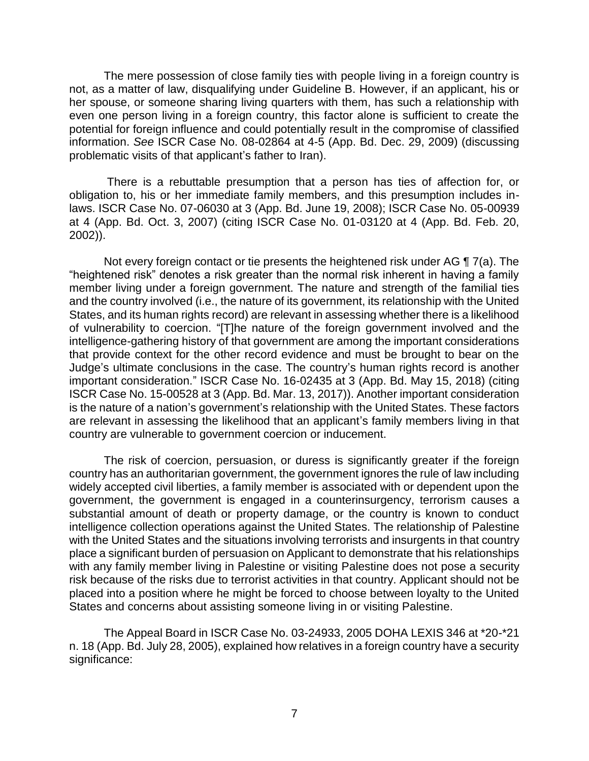The mere possession of close family ties with people living in a foreign country is not, as a matter of law, disqualifying under Guideline B. However, if an applicant, his or her spouse, or someone sharing living quarters with them, has such a relationship with even one person living in a foreign country, this factor alone is sufficient to create the potential for foreign influence and could potentially result in the compromise of classified information. *See* ISCR Case No. 08-02864 at 4-5 (App. Bd. Dec. 29, 2009) (discussing problematic visits of that applicant's father to Iran).

 There is a rebuttable presumption that a person has ties of affection for, or obligation to, his or her immediate family members, and this presumption includes in- laws. ISCR Case No. 07-06030 at 3 (App. Bd. June 19, 2008); ISCR Case No. 05-00939 at 4 (App. Bd. Oct. 3, 2007) (citing ISCR Case No. 01-03120 at 4 (App. Bd. Feb. 20, 2002)).

Not every foreign contact or tie presents the heightened risk under AG ¶ 7(a). The "heightened risk" denotes a risk greater than the normal risk inherent in having a family member living under a foreign government. The nature and strength of the familial ties and the country involved (i.e., the nature of its government, its relationship with the United States, and its human rights record) are relevant in assessing whether there is a likelihood of vulnerability to coercion. "[T]he nature of the foreign government involved and the intelligence-gathering history of that government are among the important considerations that provide context for the other record evidence and must be brought to bear on the Judge's ultimate conclusions in the case. The country's human rights record is another important consideration." ISCR Case No. 16-02435 at 3 (App. Bd. May 15, 2018) (citing ISCR Case No. 15-00528 at 3 (App. Bd. Mar. 13, 2017)). Another important consideration is the nature of a nation's government's relationship with the United States. These factors are relevant in assessing the likelihood that an applicant's family members living in that country are vulnerable to government coercion or inducement.

 The risk of coercion, persuasion, or duress is significantly greater if the foreign country has an authoritarian government, the government ignores the rule of law including widely accepted civil liberties, a family member is associated with or dependent upon the government, the government is engaged in a counterinsurgency, terrorism causes a substantial amount of death or property damage, or the country is known to conduct intelligence collection operations against the United States. The relationship of Palestine with the United States and the situations involving terrorists and insurgents in that country place a significant burden of persuasion on Applicant to demonstrate that his relationships with any family member living in Palestine or visiting Palestine does not pose a security risk because of the risks due to terrorist activities in that country. Applicant should not be placed into a position where he might be forced to choose between loyalty to the United States and concerns about assisting someone living in or visiting Palestine.

The Appeal Board in ISCR Case No. 03-24933, 2005 DOHA LEXIS 346 at \*20-\*21 n. 18 (App. Bd. July 28, 2005), explained how relatives in a foreign country have a security significance: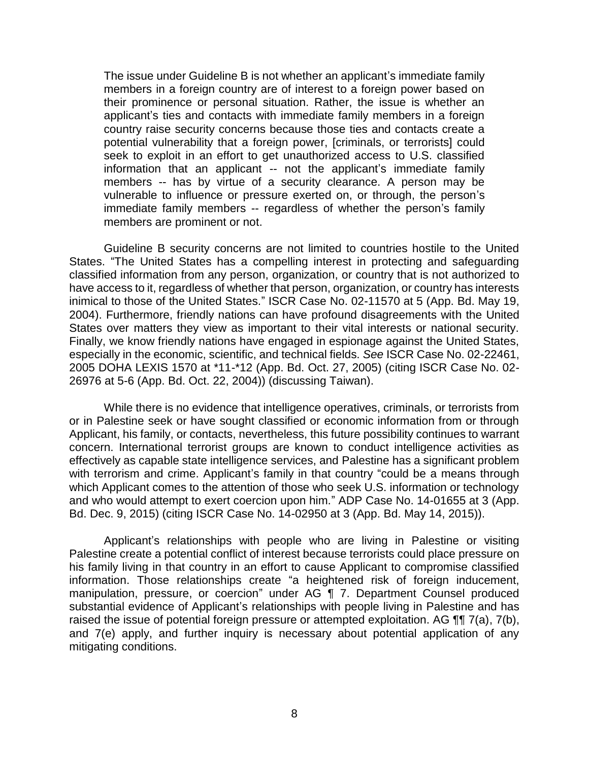The issue under Guideline B is not whether an applicant's immediate family members in a foreign country are of interest to a foreign power based on their prominence or personal situation. Rather, the issue is whether an applicant's ties and contacts with immediate family members in a foreign country raise security concerns because those ties and contacts create a potential vulnerability that a foreign power, [criminals, or terrorists] could seek to exploit in an effort to get unauthorized access to U.S. classified information that an applicant -- not the applicant's immediate family members -- has by virtue of a security clearance. A person may be vulnerable to influence or pressure exerted on, or through, the person's immediate family members -- regardless of whether the person's family members are prominent or not.

Guideline B security concerns are not limited to countries hostile to the United States. "The United States has a compelling interest in protecting and safeguarding classified information from any person, organization, or country that is not authorized to have access to it, regardless of whether that person, organization, or country has interests inimical to those of the United States." ISCR Case No. 02-11570 at 5 (App. Bd. May 19, 2004). Furthermore, friendly nations can have profound disagreements with the United States over matters they view as important to their vital interests or national security. Finally, we know friendly nations have engaged in espionage against the United States, especially in the economic, scientific, and technical fields. *See* ISCR Case No. 02-22461, 2005 DOHA LEXIS 1570 at \*11-\*12 (App. Bd. Oct. 27, 2005) (citing ISCR Case No. 02- 26976 at 5-6 (App. Bd. Oct. 22, 2004)) (discussing Taiwan).

 While there is no evidence that intelligence operatives, criminals, or terrorists from or in Palestine seek or have sought classified or economic information from or through Applicant, his family, or contacts, nevertheless, this future possibility continues to warrant concern. International terrorist groups are known to conduct intelligence activities as effectively as capable state intelligence services, and Palestine has a significant problem with terrorism and crime. Applicant's family in that country "could be a means through which Applicant comes to the attention of those who seek U.S. information or technology and who would attempt to exert coercion upon him." ADP Case No. 14-01655 at 3 (App. Bd. Dec. 9, 2015) (citing ISCR Case No. 14-02950 at 3 (App. Bd. May 14, 2015)).

 Applicant's relationships with people who are living in Palestine or visiting Palestine create a potential conflict of interest because terrorists could place pressure on his family living in that country in an effort to cause Applicant to compromise classified information. Those relationships create "a heightened risk of foreign inducement, manipulation, pressure, or coercion" under AG ¶ 7. Department Counsel produced substantial evidence of Applicant's relationships with people living in Palestine and has raised the issue of potential foreign pressure or attempted exploitation. AG  $\P\P$  7(a), 7(b), and 7(e) apply, and further inquiry is necessary about potential application of any mitigating conditions.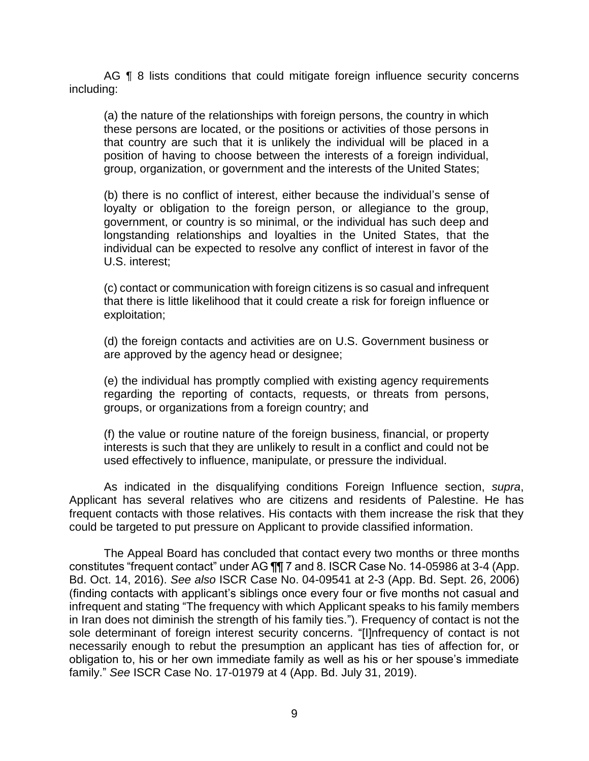AG **[8** 8 lists conditions that could mitigate foreign influence security concerns including:

(a) the nature of the relationships with foreign persons, the country in which these persons are located, or the positions or activities of those persons in that country are such that it is unlikely the individual will be placed in a position of having to choose between the interests of a foreign individual, group, organization, or government and the interests of the United States;

(b) there is no conflict of interest, either because the individual's sense of loyalty or obligation to the foreign person, or allegiance to the group, government, or country is so minimal, or the individual has such deep and longstanding relationships and loyalties in the United States, that the individual can be expected to resolve any conflict of interest in favor of the U.S. interest;

(c) contact or communication with foreign citizens is so casual and infrequent that there is little likelihood that it could create a risk for foreign influence or exploitation;

(d) the foreign contacts and activities are on U.S. Government business or are approved by the agency head or designee;

(e) the individual has promptly complied with existing agency requirements regarding the reporting of contacts, requests, or threats from persons, groups, or organizations from a foreign country; and

 (f) the value or routine nature of the foreign business, financial, or property interests is such that they are unlikely to result in a conflict and could not be used effectively to influence, manipulate, or pressure the individual.

 As indicated in the disqualifying conditions Foreign Influence section, *supra*, frequent contacts with those relatives. His contacts with them increase the risk that they could be targeted to put pressure on Applicant to provide classified information. Applicant has several relatives who are citizens and residents of Palestine. He has

 The Appeal Board has concluded that contact every two months or three months constitutes "frequent contact" under AG ¶¶ 7 and 8. ISCR Case No. 14-05986 at 3-4 (App.  Bd. Oct. 14, 2016). *See also* ISCR Case No. 04-09541 at 2-3 (App. Bd. Sept. 26, 2006) (finding contacts with applicant's siblings once every four or five months not casual and infrequent and stating "The frequency with which Applicant speaks to his family members sole determinant of foreign interest security concerns. "[I]nfrequency of contact is not necessarily enough to rebut the presumption an applicant has ties of affection for, or obligation to, his or her own immediate family as well as his or her spouse's immediate in Iran does not diminish the strength of his family ties."). Frequency of contact is not the family." *See* ISCR Case No. 17-01979 at 4 (App. Bd. July 31, 2019).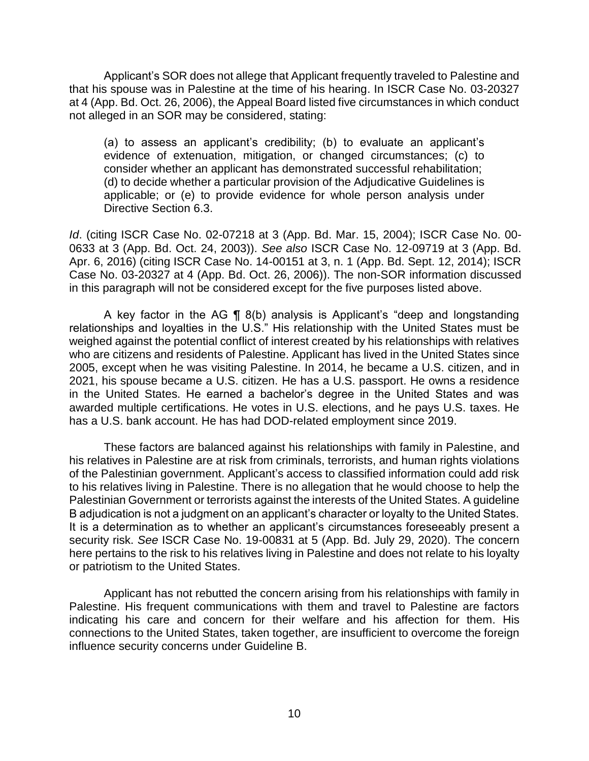Applicant's SOR does not allege that Applicant frequently traveled to Palestine and that his spouse was in Palestine at the time of his hearing. In ISCR Case No. 03-20327 at 4 (App. Bd. Oct. 26, 2006), the Appeal Board listed five circumstances in which conduct not alleged in an SOR may be considered, stating:

(a) to assess an applicant's credibility; (b) to evaluate an applicant's evidence of extenuation, mitigation, or changed circumstances; (c) to consider whether an applicant has demonstrated successful rehabilitation; (d) to decide whether a particular provision of the Adjudicative Guidelines is applicable; or (e) to provide evidence for whole person analysis under Directive Section 6.3.

*Id*. (citing ISCR Case No. 02-07218 at 3 (App. Bd. Mar. 15, 2004); ISCR Case No. 00- 0633 at 3 (App. Bd. Oct. 24, 2003)). *See also* ISCR Case No. 12-09719 at 3 (App. Bd. Apr. 6, 2016) (citing ISCR Case No. 14-00151 at 3, n. 1 (App. Bd. Sept. 12, 2014); ISCR Case No. 03-20327 at 4 (App. Bd. Oct. 26, 2006)). The non-SOR information discussed in this paragraph will not be considered except for the five purposes listed above.

 A key factor in the AG ¶ 8(b) analysis is Applicant's "deep and longstanding relationships and loyalties in the U.S." His relationship with the United States must be weighed against the potential conflict of interest created by his relationships with relatives who are citizens and residents of Palestine. Applicant has lived in the United States since 2005, except when he was visiting Palestine. In 2014, he became a U.S. citizen, and in 2021, his spouse became a U.S. citizen. He has a U.S. passport. He owns a residence in the United States. He earned a bachelor's degree in the United States and was awarded multiple certifications. He votes in U.S. elections, and he pays U.S. taxes. He has a U.S. bank account. He has had DOD-related employment since 2019.

 These factors are balanced against his relationships with family in Palestine, and his relatives in Palestine are at risk from criminals, terrorists, and human rights violations of the Palestinian government. Applicant's access to classified information could add risk to his relatives living in Palestine. There is no allegation that he would choose to help the Palestinian Government or terrorists against the interests of the United States. A guideline B adjudication is not a judgment on an applicant's character or loyalty to the United States. It is a determination as to whether an applicant's circumstances foreseeably present a security risk. *See* ISCR Case No. 19-00831 at 5 (App. Bd. July 29, 2020). The concern here pertains to the risk to his relatives living in Palestine and does not relate to his loyalty or patriotism to the United States.

 Applicant has not rebutted the concern arising from his relationships with family in Palestine. His frequent communications with them and travel to Palestine are factors indicating his care and concern for their welfare and his affection for them. His connections to the United States, taken together, are insufficient to overcome the foreign influence security concerns under Guideline B.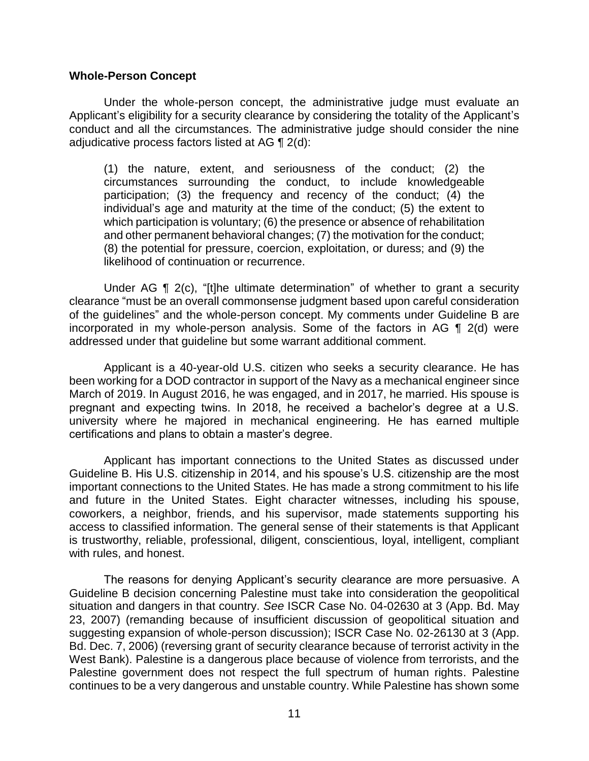### **Whole-Person Concept**

 Under the whole-person concept, the administrative judge must evaluate an conduct and all the circumstances. The administrative judge should consider the nine adjudicative process factors listed at AG  $\P$  2(d): Applicant's eligibility for a security clearance by considering the totality of the Applicant's

 (1) the nature, extent, and seriousness of the conduct; (2) the circumstances surrounding the conduct, to include knowledgeable participation; (3) the frequency and recency of the conduct; (4) the individual's age and maturity at the time of the conduct; (5) the extent to which participation is voluntary; (6) the presence or absence of rehabilitation and other permanent behavioral changes; (7) the motivation for the conduct; (8) the potential for pressure, coercion, exploitation, or duress; and (9) the likelihood of continuation or recurrence.

 clearance "must be an overall commonsense judgment based upon careful consideration of the guidelines" and the whole-person concept. My comments under Guideline B are incorporated in my whole-person analysis. Some of the factors in AG ¶ 2(d) were Under AG ¶ 2(c), "[t]he ultimate determination" of whether to grant a security addressed under that guideline but some warrant additional comment.

 Applicant is a 40-year-old U.S. citizen who seeks a security clearance. He has been working for a DOD contractor in support of the Navy as a mechanical engineer since March of 2019. In August 2016, he was engaged, and in 2017, he married. His spouse is pregnant and expecting twins. In 2018, he received a bachelor's degree at a U.S. university where he majored in mechanical engineering. He has earned multiple certifications and plans to obtain a master's degree.

 Applicant has important connections to the United States as discussed under Guideline B. His U.S. citizenship in 2014, and his spouse's U.S. citizenship are the most important connections to the United States. He has made a strong commitment to his life and future in the United States. Eight character witnesses, including his spouse, coworkers, a neighbor, friends, and his supervisor, made statements supporting his access to classified information. The general sense of their statements is that Applicant is trustworthy, reliable, professional, diligent, conscientious, loyal, intelligent, compliant with rules, and honest.

 The reasons for denying Applicant's security clearance are more persuasive. A Guideline B decision concerning Palestine must take into consideration the geopolitical situation and dangers in that country. *See* ISCR Case No. 04-02630 at 3 (App. Bd. May 23, 2007) (remanding because of insufficient discussion of geopolitical situation and suggesting expansion of whole-person discussion); ISCR Case No. 02-26130 at 3 (App. Bd. Dec. 7, 2006) (reversing grant of security clearance because of terrorist activity in the West Bank). Palestine is a dangerous place because of violence from terrorists, and the Palestine government does not respect the full spectrum of human rights. Palestine continues to be a very dangerous and unstable country. While Palestine has shown some